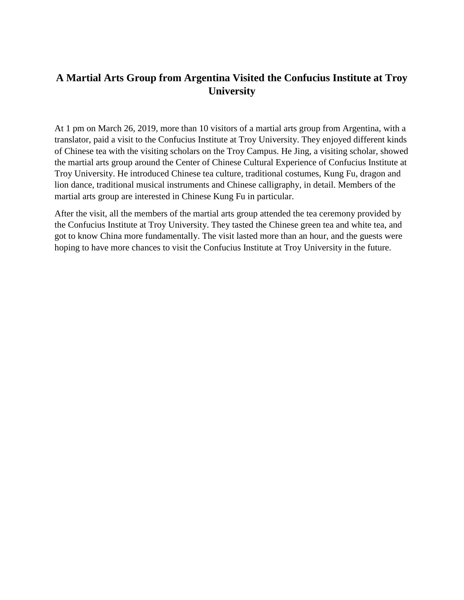## **A Martial Arts Group from Argentina Visited the Confucius Institute at Troy University**

At 1 pm on March 26, 2019, more than 10 visitors of a martial arts group from Argentina, with a translator, paid a visit to the Confucius Institute at Troy University. They enjoyed different kinds of Chinese tea with the visiting scholars on the Troy Campus. He Jing, a visiting scholar, showed the martial arts group around the Center of Chinese Cultural Experience of Confucius Institute at Troy University. He introduced Chinese tea culture, traditional costumes, Kung Fu, dragon and lion dance, traditional musical instruments and Chinese calligraphy, in detail. Members of the martial arts group are interested in Chinese Kung Fu in particular.

After the visit, all the members of the martial arts group attended the tea ceremony provided by the Confucius Institute at Troy University. They tasted the Chinese green tea and white tea, and got to know China more fundamentally. The visit lasted more than an hour, and the guests were hoping to have more chances to visit the Confucius Institute at Troy University in the future.